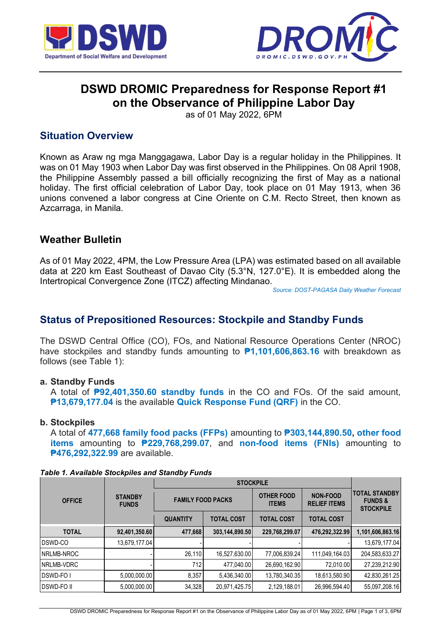



# **DSWD DROMIC Preparedness for Response Report #1 on the Observance of Philippine Labor Day**

as of 01 May 2022, 6PM

## **Situation Overview**

Known as Araw ng mga Manggagawa, Labor Day is a regular holiday in the Philippines. It was on 01 May 1903 when Labor Day was first observed in the Philippines. On 08 April 1908, the Philippine Assembly passed a bill officially recognizing the first of May as a national holiday. The first official celebration of Labor Day, took place on 01 May 1913, when 36 unions convened a labor congress at Cine Oriente on C.M. Recto Street, then known as Azcarraga, in Manila.

## **Weather Bulletin**

As of 01 May 2022, 4PM, the Low Pressure Area (LPA) was estimated based on all available data at 220 km East Southeast of Davao City (5.3°N, 127.0°E). It is embedded along the Intertropical Convergence Zone (ITCZ) affecting Mindanao.

*[Source: DOST-PAGASA Daily Weather Forecast](http://bagong.pagasa.dost.gov.ph/weather#daily-weather-forecast)*

## **Status of Prepositioned Resources: Stockpile and Standby Funds**

The DSWD Central Office (CO), FOs, and National Resource Operations Center (NROC) have stockpiles and standby funds amounting to **₱1,101,606,863.16** with breakdown as follows (see Table 1):

### **a. Standby Funds**

A total of **₱92,401,350.60 standby funds** in the CO and FOs. Of the said amount, **₱13,679,177.04** is the available **Quick Response Fund (QRF)** in the CO.

### **b. Stockpiles**

A total of **477,668 family food packs (FFPs)** amounting to **₱303,144,890.50, other food items** amounting to **₱229,768,299.07**, and **non-food items (FNIs)** amounting to **₱476,292,322.99** are available.

|                  | <b>STANDBY</b><br><b>FUNDS</b> |                          |                   |                                   |                                        |                                                                |
|------------------|--------------------------------|--------------------------|-------------------|-----------------------------------|----------------------------------------|----------------------------------------------------------------|
| <b>OFFICE</b>    |                                | <b>FAMILY FOOD PACKS</b> |                   | <b>OTHER FOOD</b><br><b>ITEMS</b> | <b>NON-FOOD</b><br><b>RELIEF ITEMS</b> | <b>ITOTAL STANDBY</b><br><b>FUNDS&amp;</b><br><b>STOCKPILE</b> |
|                  |                                | <b>QUANTITY</b>          | <b>TOTAL COST</b> | <b>TOTAL COST</b>                 | <b>TOTAL COST</b>                      |                                                                |
| <b>TOTAL</b>     | 92,401,350.60                  | 477,668                  | 303,144,890.50    | 229,768,299.07                    | 476,292,322.99                         | 1,101,606,863.16                                               |
| DSWD-CO          | 13,679,177.04                  |                          |                   |                                   |                                        | 13,679,177.04                                                  |
| NRLMB-NROC       |                                | 26,110                   | 16,527,630.00     | 77,006,839.24                     | 111,049,164.03                         | 204,583,633.27                                                 |
| NRLMB-VDRC       |                                | 712                      | 477,040.00        | 26,690,162.90                     | 72,010.00                              | 27,239,212.90                                                  |
| <b>DSWD-FOI</b>  | 5,000,000.00                   | 8,357                    | 5,436,340.00      | 13,780,340.35                     | 18,613,580.90                          | 42,830,261.25                                                  |
| <b>DSWD-FOII</b> | 5,000,000.00                   | 34,328                   | 20,971,425.75     | 2,129,188.01                      | 26,996,594.40                          | 55,097,208.16                                                  |

*Table 1. Available Stockpiles and Standby Funds*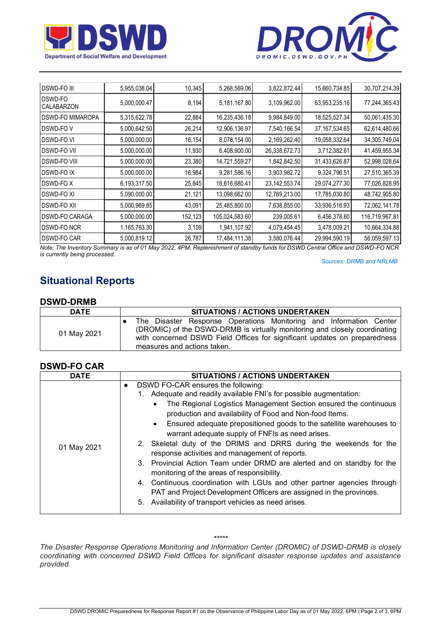



| 5,955,038.04 | 10,345                                                                                                                                                                                                       | 5,268,569.06   |               |                                                                                                                                                  |                                                                    |
|--------------|--------------------------------------------------------------------------------------------------------------------------------------------------------------------------------------------------------------|----------------|---------------|--------------------------------------------------------------------------------------------------------------------------------------------------|--------------------------------------------------------------------|
|              |                                                                                                                                                                                                              |                | 3,822,872.44  | 15,660,734.85                                                                                                                                    | 30,707,214.39                                                      |
|              | 8,194                                                                                                                                                                                                        |                | 3,109,962.00  |                                                                                                                                                  | 77,244,365.43                                                      |
|              | 22,884                                                                                                                                                                                                       |                | 9,984,849.00  | 18,525,527.34                                                                                                                                    | 50,061,435.30                                                      |
|              | 26,214                                                                                                                                                                                                       | 12,906,136.97  | 7,540,166.54  | 37, 167, 534. 65                                                                                                                                 | 62,614,480.66                                                      |
|              | 16,154                                                                                                                                                                                                       |                | 2,169,262.40  | 19,058,332.64                                                                                                                                    | 34,305,749.04                                                      |
|              | 11,930                                                                                                                                                                                                       |                | 26,338,672.73 | 3,712,382.61                                                                                                                                     | 41,459,955.34                                                      |
|              | 23,380                                                                                                                                                                                                       | 14,721,559.27  | 1,842,842.50  | 31,433,626.87                                                                                                                                    | 52,998,028.64                                                      |
|              | 16,984                                                                                                                                                                                                       |                | 3,903,982.72  | 9,324,796.51                                                                                                                                     | 27,510,365.39                                                      |
|              | 25,845                                                                                                                                                                                                       | 18,616,680.41  |               | 29,074,277.30                                                                                                                                    | 77,026,828.95                                                      |
|              | 21,121                                                                                                                                                                                                       |                | 12,769,213.00 | 17,785,030.80                                                                                                                                    | 48,742,905.80                                                      |
|              | 43,091                                                                                                                                                                                                       |                | 7,638,855.00  |                                                                                                                                                  | 72,062,141.78                                                      |
|              | 152,123                                                                                                                                                                                                      | 105,024,583.60 | 239,005.61    | 6,456,378.60                                                                                                                                     | 116,719,967.81                                                     |
|              | 3,109                                                                                                                                                                                                        |                |               | 3,478,009.21                                                                                                                                     | 10,664,334.88                                                      |
|              | 26,787                                                                                                                                                                                                       |                | 3,580,076.44  | 29,994,590.19                                                                                                                                    | 56,059,597.13                                                      |
|              | 5,000,000.47<br>5,315,622.78<br>5,000,642.50<br>5,000,000.00<br>5,000,000.00<br>5,000,000.00<br>5,000,000.00<br>6,193,317.50<br>5,090,000.00<br>5,000,969.85<br>5,000,000.00<br>1,165,763.30<br>5,000,819.12 |                |               | 5,181,167.80<br>16,235,436.18<br>8,078,154.00<br>6,408,900.00<br>9,281,586.16<br>13,098,662.00<br>25,485,800.00<br>1,941,107.92<br>17,484,111.38 | 63,953,235.16<br>23, 142, 553. 74<br>33,936,516.93<br>4,079,454.45 |

*Note: The Inventory Summary is as of 01 May 2022, 4PM. Replenishment of standby funds for DSWD Central Office and DSWD-FO NCR is currently being processed.*

 *Sources: DRMB and NRLMB*

## **Situational Reports**

#### **DSWD-DRMB**

| <b>DATE</b> | SITUATIONS / ACTIONS UNDERTAKEN                                                                                                                                                                                                                              |  |  |  |  |  |  |  |
|-------------|--------------------------------------------------------------------------------------------------------------------------------------------------------------------------------------------------------------------------------------------------------------|--|--|--|--|--|--|--|
| 01 May 2021 | The Disaster Response Operations Monitoring and Information Center<br>(DROMIC) of the DSWD-DRMB is virtually monitoring and closely coordinating<br>with concerned DSWD Field Offices for significant updates on preparedness<br>measures and actions taken. |  |  |  |  |  |  |  |

#### **DSWD-FO CAR**

| <b>DATE</b> | <b>SITUATIONS / ACTIONS UNDERTAKEN</b>                                                                                |
|-------------|-----------------------------------------------------------------------------------------------------------------------|
|             | DSWD FO-CAR ensures the following:<br>$\bullet$                                                                       |
|             | 1. Adequate and readily available FNI's for possible augmentation:                                                    |
|             | The Regional Logistics Management Section ensured the continuous<br>$\bullet$                                         |
|             | production and availability of Food and Non-food Items.                                                               |
|             | Ensured adequate prepositioned goods to the satellite warehouses to<br>$\bullet$                                      |
|             | warrant adequate supply of FNFIs as need arises.                                                                      |
| 01 May 2021 | 2. Skeletal duty of the DRIMS and DRRS during the weekends for the                                                    |
|             | response activities and management of reports.                                                                        |
|             | 3. Provincial Action Team under DRMD are alerted and on standby for the<br>monitoring of the areas of responsibility. |
|             | 4. Continuous coordination with LGUs and other partner agencies through                                               |
|             | PAT and Project Development Officers are assigned in the provinces.                                                   |
|             | 5. Availability of transport vehicles as need arises.                                                                 |

*\*\*\*\*\**

*The Disaster Response Operations Monitoring and Information Center (DROMIC) of DSWD-DRMB is closely coordinating with concerned DSWD Field Offices for significant disaster response updates and assistance provided.*